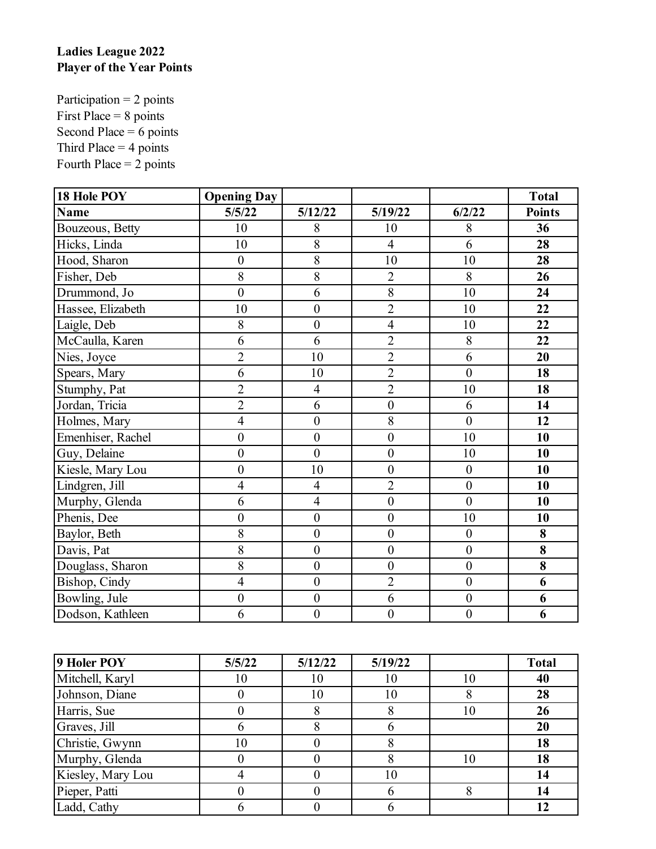## **Ladies League 2022 Player of the Year Points**

Participation  $= 2$  points First Place  $= 8$  points Second Place  $= 6$  points Third Place  $=$  4 points Fourth Place  $= 2$  points

| 18 Hole POY       | <b>Opening Day</b> |                  |                  |                  | <b>Total</b>  |
|-------------------|--------------------|------------------|------------------|------------------|---------------|
| <b>Name</b>       | 5/5/22             | 5/12/22          | 5/19/22          | 6/2/22           | <b>Points</b> |
| Bouzeous, Betty   | 10                 | 8                | 10               | 8                | 36            |
| Hicks, Linda      | 10                 | 8                | $\overline{4}$   | 6                | 28            |
| Hood, Sharon      | $\boldsymbol{0}$   | 8                | 10               | 10               | 28            |
| Fisher, Deb       | 8                  | 8                | $\overline{2}$   | 8                | 26            |
| Drummond, Jo      | $\boldsymbol{0}$   | 6                | 8                | 10               | 24            |
| Hassee, Elizabeth | 10                 | $\boldsymbol{0}$ | $\overline{2}$   | 10               | 22            |
| Laigle, Deb       | 8                  | $\overline{0}$   | $\overline{4}$   | 10               | 22            |
| McCaulla, Karen   | 6                  | 6                | $\overline{2}$   | 8                | 22            |
| Nies, Joyce       | $\overline{2}$     | 10               | $\overline{2}$   | 6                | 20            |
| Spears, Mary      | 6                  | 10               | $\overline{2}$   | $\overline{0}$   | 18            |
| Stumphy, Pat      | $\overline{2}$     | $\overline{4}$   | $\overline{2}$   | 10               | 18            |
| Jordan, Tricia    | $\overline{2}$     | 6                | $\boldsymbol{0}$ | 6                | 14            |
| Holmes, Mary      | $\overline{4}$     | $\boldsymbol{0}$ | 8                | $\overline{0}$   | 12            |
| Emenhiser, Rachel | $\boldsymbol{0}$   | $\boldsymbol{0}$ | $\boldsymbol{0}$ | 10               | 10            |
| Guy, Delaine      | $\boldsymbol{0}$   | $\boldsymbol{0}$ | $\boldsymbol{0}$ | 10               | 10            |
| Kiesle, Mary Lou  | $\mathbf{0}$       | 10               | $\mathbf{0}$     | $\overline{0}$   | 10            |
| Lindgren, Jill    | 4                  | $\overline{4}$   | $\overline{2}$   | $\boldsymbol{0}$ | 10            |
| Murphy, Glenda    | 6                  | $\overline{4}$   | $\boldsymbol{0}$ | $\boldsymbol{0}$ | 10            |
| Phenis, Dee       | $\boldsymbol{0}$   | $\overline{0}$   | $\boldsymbol{0}$ | 10               | 10            |
| Baylor, Beth      | 8                  | $\overline{0}$   | $\boldsymbol{0}$ | $\mathbf{0}$     | 8             |
| Davis, Pat        | 8                  | $\boldsymbol{0}$ | $\mathbf{0}$     | $\boldsymbol{0}$ | 8             |
| Douglass, Sharon  | 8                  | $\boldsymbol{0}$ | $\boldsymbol{0}$ | $\mathbf{0}$     | 8             |
| Bishop, Cindy     | $\overline{4}$     | $\overline{0}$   | $\overline{2}$   | $\boldsymbol{0}$ | 6             |
| Bowling, Jule     | $\boldsymbol{0}$   | $\overline{0}$   | $\overline{6}$   | $\mathbf{0}$     | 6             |
| Dodson, Kathleen  | 6                  | $\boldsymbol{0}$ | $\boldsymbol{0}$ | $\boldsymbol{0}$ | 6             |

| 9 Holer POY       | 5/5/22 | 5/12/22 | 5/19/22 |    | <b>Total</b> |
|-------------------|--------|---------|---------|----|--------------|
| Mitchell, Karyl   | 10     | 10      | 10      | 10 | 40           |
| Johnson, Diane    |        | 10      | 10      |    | 28           |
| Harris, Sue       |        |         |         | 10 | 26           |
| Graves, Jill      |        |         |         |    | 20           |
| Christie, Gwynn   | 10     |         |         |    | 18           |
| Murphy, Glenda    |        |         |         | 10 | 18           |
| Kiesley, Mary Lou |        |         | 10      |    | 14           |
| Pieper, Patti     |        |         | n       |    | 14           |
| Ladd, Cathy       |        |         |         |    | 12           |